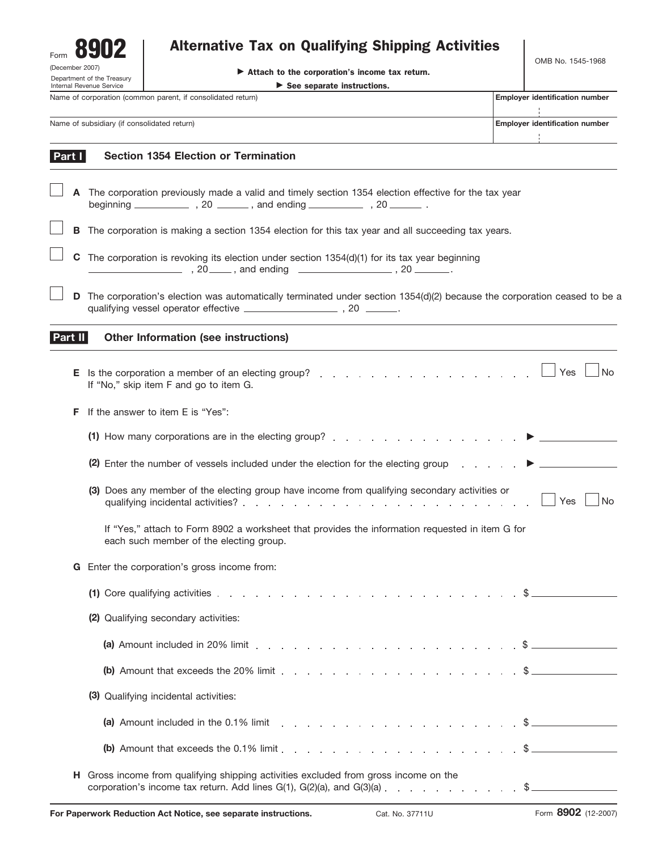| Form |                                                       |  |
|------|-------------------------------------------------------|--|
|      | (December 2007)                                       |  |
|      | Department of the Treasur<br>Internal Revenue Service |  |

## Alternative Tax on Qualifying Shipping Activities

| (December 2007)<br>Department of the Treasury                                                                                          |   |                                             | Attach to the corporation's income tax return.                                                                                                                                                                                                                                                                                                                                                                                                                  |  | OMB No. 1545-1968                     |
|----------------------------------------------------------------------------------------------------------------------------------------|---|---------------------------------------------|-----------------------------------------------------------------------------------------------------------------------------------------------------------------------------------------------------------------------------------------------------------------------------------------------------------------------------------------------------------------------------------------------------------------------------------------------------------------|--|---------------------------------------|
| $\triangleright$ See separate instructions.<br>Internal Revenue Service<br>Name of corporation (common parent, if consolidated return) |   |                                             | <b>Employer identification number</b>                                                                                                                                                                                                                                                                                                                                                                                                                           |  |                                       |
|                                                                                                                                        |   |                                             |                                                                                                                                                                                                                                                                                                                                                                                                                                                                 |  |                                       |
|                                                                                                                                        |   | Name of subsidiary (if consolidated return) |                                                                                                                                                                                                                                                                                                                                                                                                                                                                 |  | <b>Employer identification number</b> |
|                                                                                                                                        |   |                                             |                                                                                                                                                                                                                                                                                                                                                                                                                                                                 |  |                                       |
| Part I                                                                                                                                 |   |                                             | <b>Section 1354 Election or Termination</b>                                                                                                                                                                                                                                                                                                                                                                                                                     |  |                                       |
|                                                                                                                                        |   |                                             | A The corporation previously made a valid and timely section 1354 election effective for the tax year                                                                                                                                                                                                                                                                                                                                                           |  |                                       |
|                                                                                                                                        |   |                                             | <b>B</b> The corporation is making a section 1354 election for this tax year and all succeeding tax years.                                                                                                                                                                                                                                                                                                                                                      |  |                                       |
|                                                                                                                                        | C |                                             | The corporation is revoking its election under section $1354(d)(1)$ for its tax year beginning                                                                                                                                                                                                                                                                                                                                                                  |  |                                       |
|                                                                                                                                        | D |                                             | The corporation's election was automatically terminated under section 1354(d)(2) because the corporation ceased to be a                                                                                                                                                                                                                                                                                                                                         |  |                                       |
| Part II                                                                                                                                |   |                                             | Other Information (see instructions)                                                                                                                                                                                                                                                                                                                                                                                                                            |  |                                       |
|                                                                                                                                        |   |                                             | E Is the corporation a member of an electing group?<br>If "No," skip item F and go to item G.                                                                                                                                                                                                                                                                                                                                                                   |  | <b>No</b><br>Yes                      |
|                                                                                                                                        | F |                                             | If the answer to item E is "Yes":                                                                                                                                                                                                                                                                                                                                                                                                                               |  |                                       |
|                                                                                                                                        |   |                                             |                                                                                                                                                                                                                                                                                                                                                                                                                                                                 |  |                                       |
|                                                                                                                                        |   |                                             | (2) Enter the number of vessels included under the election for the electing group                                                                                                                                                                                                                                                                                                                                                                              |  |                                       |
|                                                                                                                                        |   |                                             | (3) Does any member of the electing group have income from qualifying secondary activities or                                                                                                                                                                                                                                                                                                                                                                   |  | Yes<br>No                             |
|                                                                                                                                        |   |                                             | If "Yes," attach to Form 8902 a worksheet that provides the information requested in item G for<br>each such member of the electing group.                                                                                                                                                                                                                                                                                                                      |  |                                       |
|                                                                                                                                        | G |                                             | Enter the corporation's gross income from:                                                                                                                                                                                                                                                                                                                                                                                                                      |  |                                       |
|                                                                                                                                        |   |                                             | (1) Core qualifying activities $\ldots$ $\ldots$ $\ldots$ $\ldots$ $\ldots$ $\ldots$ $\ldots$ $\ldots$ $\ldots$ $\ddot{\text{s}}$                                                                                                                                                                                                                                                                                                                               |  |                                       |
|                                                                                                                                        |   |                                             | (2) Qualifying secondary activities:                                                                                                                                                                                                                                                                                                                                                                                                                            |  |                                       |
|                                                                                                                                        |   |                                             | (a) Amount included in 20% limit $\ldots$ $\ldots$ $\ldots$ $\ldots$ $\ldots$ $\ldots$ $\ldots$ $\ldots$ $\ddot{\text{s}}$ $\ldots$                                                                                                                                                                                                                                                                                                                             |  |                                       |
|                                                                                                                                        |   |                                             | (b) Amount that exceeds the 20% limit $\ldots$ $\ldots$ $\ldots$ $\ldots$ $\ldots$ $\ldots$ $\ldots$ $\ldots$                                                                                                                                                                                                                                                                                                                                                   |  |                                       |
|                                                                                                                                        |   |                                             | (3) Qualifying incidental activities:                                                                                                                                                                                                                                                                                                                                                                                                                           |  |                                       |
|                                                                                                                                        |   |                                             | (a) Amount included in the 0.1% limit $\ldots$ , $\ldots$ , $\ldots$ , $\ldots$ , $\ldots$ , $\ddot{\text{s}}$                                                                                                                                                                                                                                                                                                                                                  |  |                                       |
|                                                                                                                                        |   |                                             | (b) Amount that exceeds the 0.1% limit $\ldots$ $\ldots$ $\ldots$ $\ldots$ $\ldots$ $\ldots$ $\ldots$ $\ldots$                                                                                                                                                                                                                                                                                                                                                  |  |                                       |
|                                                                                                                                        |   |                                             | H Gross income from qualifying shipping activities excluded from gross income on the<br>corporation's income tax return. Add lines $G(1)$ , $G(2)(a)$ , and $G(3)(a)$ , and $G(4)(a)$ , and $a \rightarrow a$ , and $a \rightarrow b$ , and $a \rightarrow b$ , and $a \rightarrow b$ , and $a \rightarrow b$ , and $a \rightarrow b$ , and $a \rightarrow b$ , and $a \rightarrow b$ , and $a \rightarrow b$ , and $a \rightarrow b$ , and $a \rightarrow a$ , |  |                                       |